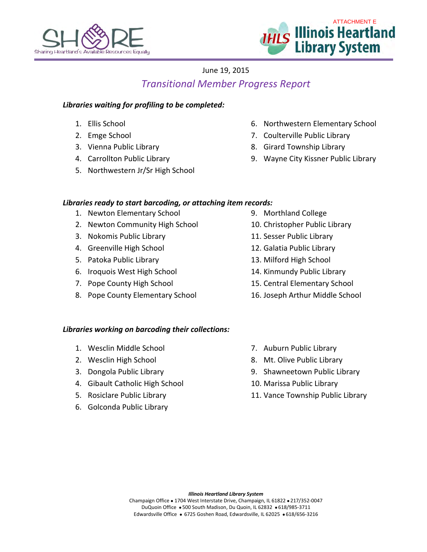



# June 19, 2015 *Transitional Member Progress Report*

## *Libraries waiting for profiling to be completed:*

- 1. Ellis School
- 2. Emge School
- 3. Vienna Public Library
- 4. Carrollton Public Library
- 5. Northwestern Jr/Sr High School
- 6. Northwestern Elementary School
- 7. Coulterville Public Library
- 8. Girard Township Library
- 9. Wayne City Kissner Public Library

## *Libraries ready to start barcoding, or attaching item records:*

- 1. Newton Elementary School
- 2. Newton Community High School
- 3. Nokomis Public Library
- 4. Greenville High School
- 5. Patoka Public Library
- 6. Iroquois West High School
- 7. Pope County High School
- 8. Pope County Elementary School
- 9. Morthland College
- 10. Christopher Public Library
- 11. Sesser Public Library
- 12. Galatia Public Library
- 13. Milford High School
- 14. Kinmundy Public Library
- 15. Central Elementary School
- 16. Joseph Arthur Middle School

### *Libraries working on barcoding their collections:*

- 1. Wesclin Middle School
- 2. Wesclin High School
- 3. Dongola Public Library
- 4. Gibault Catholic High School
- 5. Rosiclare Public Library
- 6. Golconda Public Library
- 7. Auburn Public Library
- 8. Mt. Olive Public Library
- 9. Shawneetown Public Library
- 10. Marissa Public Library
- 11. Vance Township Public Library

*Illinois Heartland Library System*